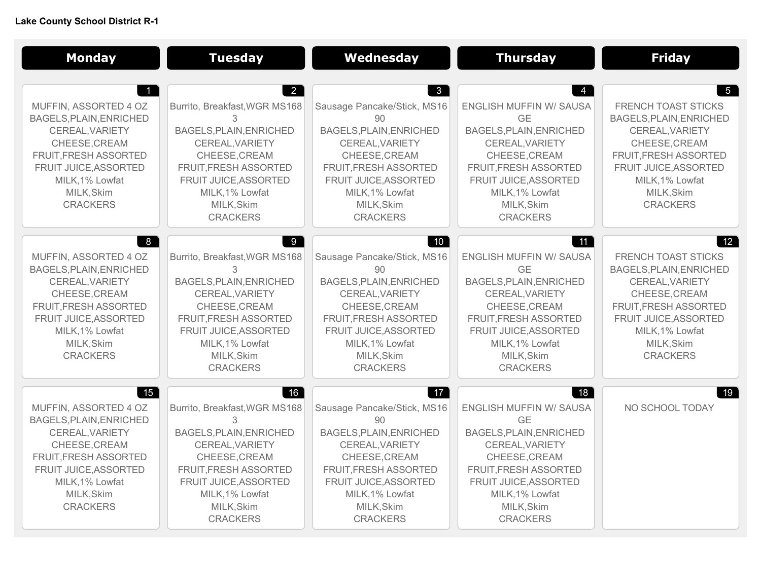## **Lake County School District R-1**

| <b>Monday</b>                                                                                                                                                                                                    | <b>Tuesday</b>                                                                                                                                                                                                            | Wednesday                                                                                                                                                                                                                   | <b>Thursday</b>                                                                                                                                                                                                                 | <b>Friday</b>                                                                                                                                                                                               |
|------------------------------------------------------------------------------------------------------------------------------------------------------------------------------------------------------------------|---------------------------------------------------------------------------------------------------------------------------------------------------------------------------------------------------------------------------|-----------------------------------------------------------------------------------------------------------------------------------------------------------------------------------------------------------------------------|---------------------------------------------------------------------------------------------------------------------------------------------------------------------------------------------------------------------------------|-------------------------------------------------------------------------------------------------------------------------------------------------------------------------------------------------------------|
| MUFFIN, ASSORTED 4 OZ<br>BAGELS, PLAIN, ENRICHED<br>CEREAL, VARIETY<br>CHEESE, CREAM<br>FRUIT, FRESH ASSORTED<br>FRUIT JUICE, ASSORTED<br>MILK, 1% Lowfat<br>MILK, Skim<br><b>CRACKERS</b>                       | $\overline{2}$<br>Burrito, Breakfast, WGR MS168<br>3<br>BAGELS, PLAIN, ENRICHED<br>CEREAL, VARIETY<br>CHEESE, CREAM<br>FRUIT, FRESH ASSORTED<br>FRUIT JUICE, ASSORTED<br>MILK, 1% Lowfat<br>MILK, Skim<br><b>CRACKERS</b> | $\mathbf{3}$<br>Sausage Pancake/Stick, MS16<br>90<br>BAGELS, PLAIN, ENRICHED<br>CEREAL, VARIETY<br>CHEESE, CREAM<br>FRUIT, FRESH ASSORTED<br>FRUIT JUICE, ASSORTED<br>MILK, 1% Lowfat<br>MILK, Skim<br><b>CRACKERS</b>      | <b>ENGLISH MUFFIN W/ SAUSA</b><br>GF<br>BAGELS, PLAIN, ENRICHED<br>CEREAL, VARIETY<br>CHEESE, CREAM<br>FRUIT, FRESH ASSORTED<br>FRUIT JUICE, ASSORTED<br>MILK, 1% Lowfat<br>MILK, Skim<br><b>CRACKERS</b>                       | $5\overline{)}$<br>FRENCH TOAST STICKS<br>BAGELS, PLAIN, ENRICHED<br>CEREAL, VARIETY<br>CHEESE, CREAM<br>FRUIT, FRESH ASSORTED<br>FRUIT JUICE, ASSORTED<br>MILK, 1% Lowfat<br>MILK, Skim<br><b>CRACKERS</b> |
| 8 <sup>1</sup><br>MUFFIN, ASSORTED 4 OZ<br>BAGELS, PLAIN, ENRICHED<br>CEREAL, VARIETY<br>CHEESE, CREAM<br>FRUIT, FRESH ASSORTED<br>FRUIT JUICE, ASSORTED<br>MILK, 1% Lowfat<br>MILK, Skim<br><b>CRACKERS</b>     | 9<br>Burrito, Breakfast, WGR MS168<br>3<br>BAGELS, PLAIN, ENRICHED<br>CEREAL, VARIETY<br>CHEESE, CREAM<br>FRUIT, FRESH ASSORTED<br>FRUIT JUICE, ASSORTED<br>MILK, 1% Lowfat<br>MILK, Skim<br><b>CRACKERS</b>              | 10<br>Sausage Pancake/Stick, MS16<br>90<br>BAGELS, PLAIN, ENRICHED<br>CEREAL, VARIETY<br>CHEESE, CREAM<br>FRUIT, FRESH ASSORTED<br>FRUIT JUICE, ASSORTED<br>MILK, 1% Lowfat<br>MILK, Skim<br><b>CRACKERS</b>                | $\vert$ 11 $\vert$<br><b>ENGLISH MUFFIN W/ SAUSA</b><br>GF<br>BAGELS, PLAIN, ENRICHED<br>CEREAL, VARIETY<br>CHEESE, CREAM<br>FRUIT, FRESH ASSORTED<br>FRUIT JUICE, ASSORTED<br>MILK, 1% Lowfat<br>MILK, Skim<br><b>CRACKERS</b> | 12<br><b>FRENCH TOAST STICKS</b><br>BAGELS, PLAIN, ENRICHED<br>CEREAL, VARIETY<br>CHEESE, CREAM<br>FRUIT, FRESH ASSORTED<br>FRUIT JUICE, ASSORTED<br>MILK, 1% Lowfat<br>MILK, Skim<br><b>CRACKERS</b>       |
| $\vert$ 15 $\vert$<br>MUFFIN, ASSORTED 4 OZ<br>BAGELS, PLAIN, ENRICHED<br>CEREAL, VARIETY<br>CHEESE, CREAM<br>FRUIT, FRESH ASSORTED<br>FRUIT JUICE, ASSORTED<br>MILK, 1% Lowfat<br>MILK, Skim<br><b>CRACKERS</b> | $\vert$ 16<br>Burrito, Breakfast, WGR MS168<br>3<br>BAGELS, PLAIN, ENRICHED<br>CEREAL, VARIETY<br>CHEESE, CREAM<br>FRUIT, FRESH ASSORTED<br>FRUIT JUICE, ASSORTED<br>MILK, 1% Lowfat<br>MILK, Skim<br><b>CRACKERS</b>     | $\vert$ 17<br>Sausage Pancake/Stick, MS16<br>90<br>BAGELS, PLAIN, ENRICHED<br>CEREAL, VARIETY<br>CHEESE, CREAM<br><b>FRUIT, FRESH ASSORTED</b><br>FRUIT JUICE, ASSORTED<br>MILK, 1% Lowfat<br>MILK, Skim<br><b>CRACKERS</b> | 18 <br>ENGLISH MUFFIN W/ SAUSA<br><b>GE</b><br>BAGELS, PLAIN, ENRICHED<br>CEREAL, VARIETY<br>CHEESE, CREAM<br><b>FRUIT, FRESH ASSORTED</b><br>FRUIT JUICE, ASSORTED<br>MILK, 1% Lowfat<br>MILK, Skim<br><b>CRACKERS</b>         | 19 <br>NO SCHOOL TODAY                                                                                                                                                                                      |